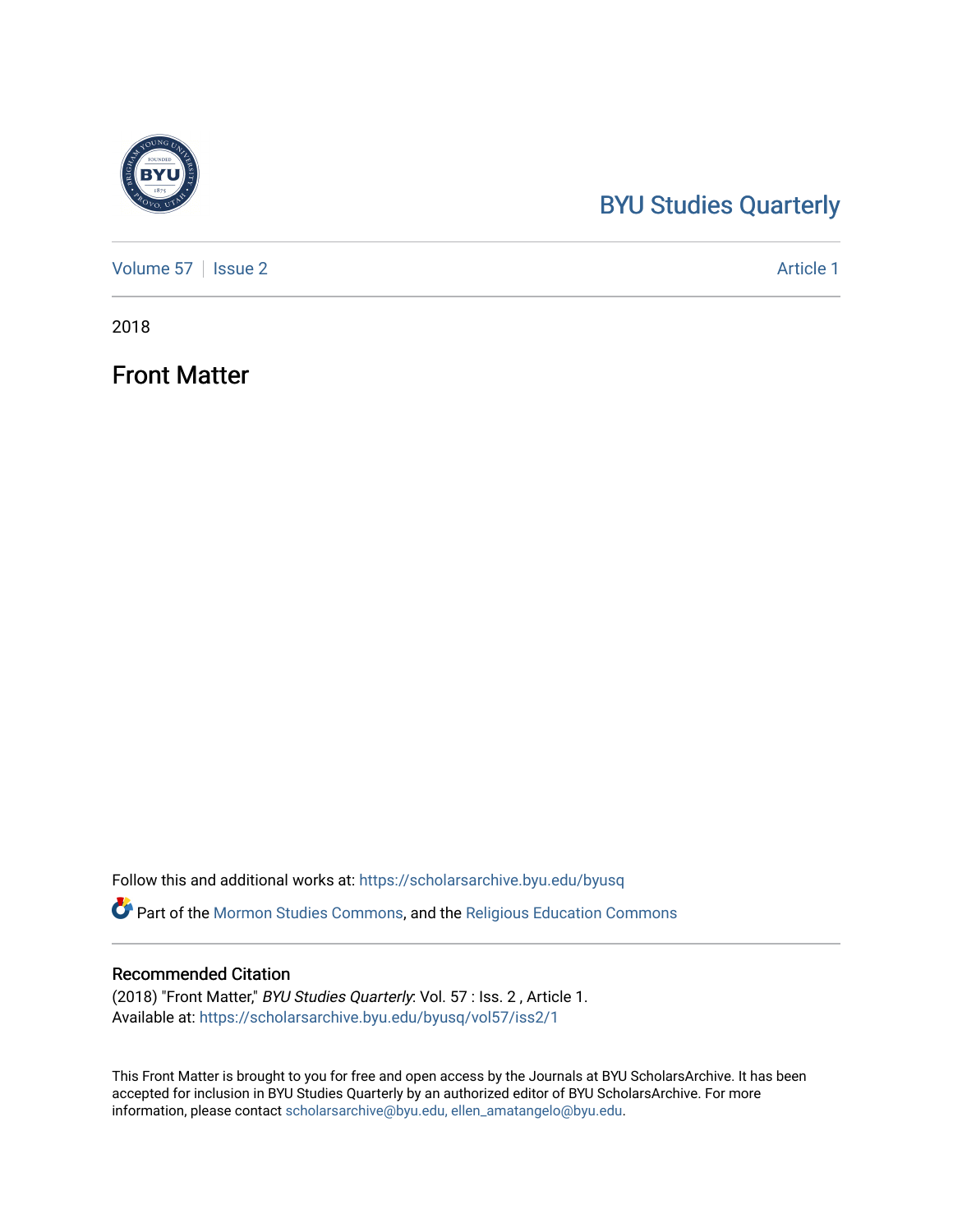# [BYU Studies Quarterly](https://scholarsarchive.byu.edu/byusq)

[Volume 57](https://scholarsarchive.byu.edu/byusq/vol57) | [Issue 2](https://scholarsarchive.byu.edu/byusq/vol57/iss2) Article 1

2018

Front Matter

Follow this and additional works at: [https://scholarsarchive.byu.edu/byusq](https://scholarsarchive.byu.edu/byusq?utm_source=scholarsarchive.byu.edu%2Fbyusq%2Fvol57%2Fiss2%2F1&utm_medium=PDF&utm_campaign=PDFCoverPages) 

Part of the [Mormon Studies Commons](http://network.bepress.com/hgg/discipline/1360?utm_source=scholarsarchive.byu.edu%2Fbyusq%2Fvol57%2Fiss2%2F1&utm_medium=PDF&utm_campaign=PDFCoverPages), and the [Religious Education Commons](http://network.bepress.com/hgg/discipline/1414?utm_source=scholarsarchive.byu.edu%2Fbyusq%2Fvol57%2Fiss2%2F1&utm_medium=PDF&utm_campaign=PDFCoverPages) 

# Recommended Citation

(2018) "Front Matter," BYU Studies Quarterly: Vol. 57 : Iss. 2 , Article 1. Available at: [https://scholarsarchive.byu.edu/byusq/vol57/iss2/1](https://scholarsarchive.byu.edu/byusq/vol57/iss2/1?utm_source=scholarsarchive.byu.edu%2Fbyusq%2Fvol57%2Fiss2%2F1&utm_medium=PDF&utm_campaign=PDFCoverPages)

This Front Matter is brought to you for free and open access by the Journals at BYU ScholarsArchive. It has been accepted for inclusion in BYU Studies Quarterly by an authorized editor of BYU ScholarsArchive. For more information, please contact [scholarsarchive@byu.edu, ellen\\_amatangelo@byu.edu.](mailto:scholarsarchive@byu.edu,%20ellen_amatangelo@byu.edu)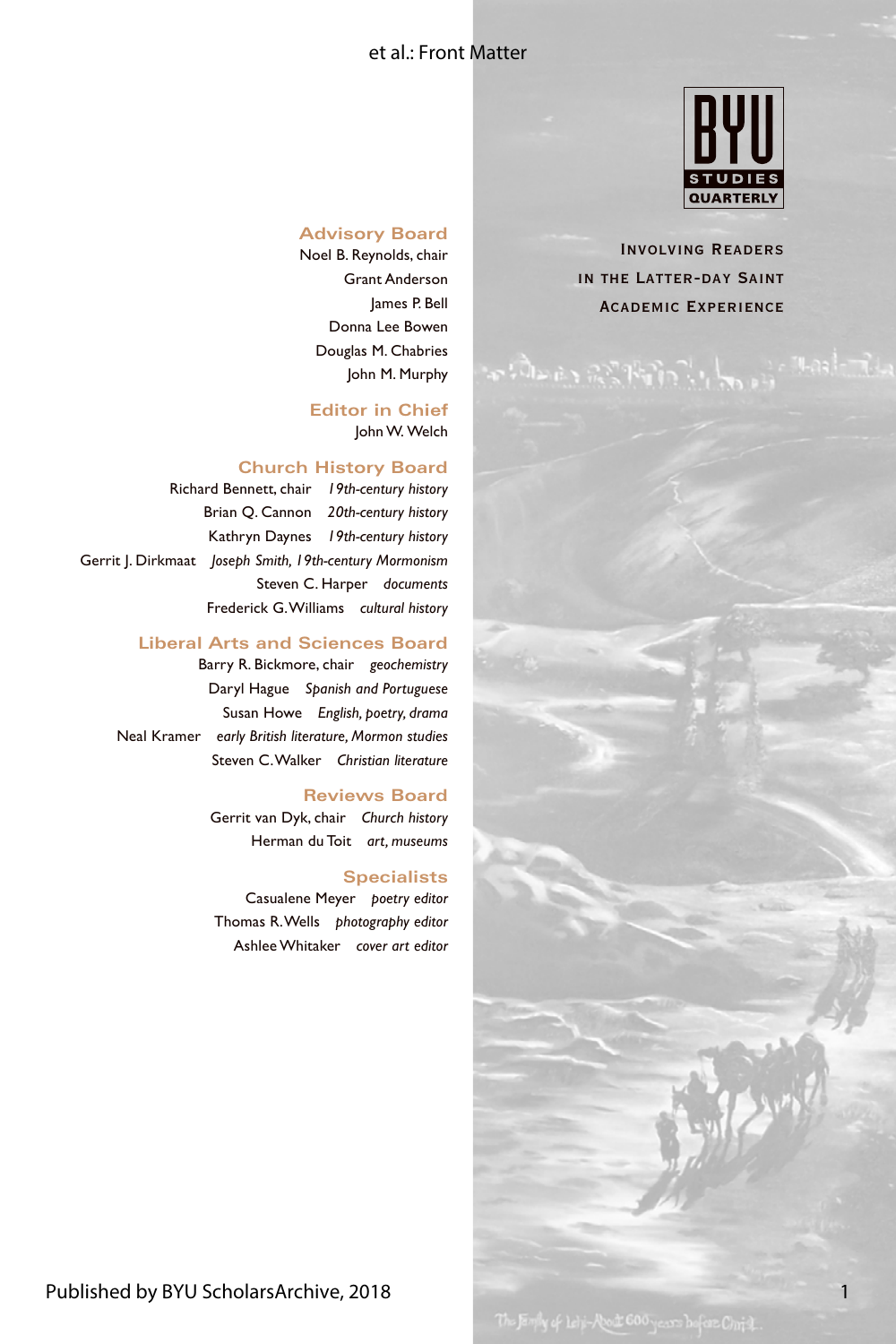### et al.: Front Matter



Involving Readers in the Latter-day Saint Academic Experience

#### **Advisory Board**

Noel B. Reynolds, chair Grant Anderson James P. Bell Donna Lee Bowen Douglas M. Chabries John M. Murphy

**Editor in Chief** John W. Welch

#### **Church History Board**

Richard Bennett, chair *19th-century history* Brian Q. Cannon *20th-century history* Kathryn Daynes *19th-century history* Gerrit J. Dirkmaat *Joseph Smith, 19th-century Mormonism* Steven C. Harper *documents* Frederick G. Williams *cultural history*

#### **Liberal Arts and Sciences Board**

Barry R. Bickmore, chair *geochemistry* Daryl Hague *Spanish and Portuguese* Susan Howe *English, poetry, drama* Neal Kramer *early British literature, Mormon studies* Steven C. Walker *Christian literature*

#### **Reviews Board**

Gerrit van Dyk, chair *Church history* Herman du Toit *art, museums*

#### **Specialists**

Casualene Meyer *poetry editor* Thomas R. Wells *photography editor* Ashlee Whitaker *cover art editor*

1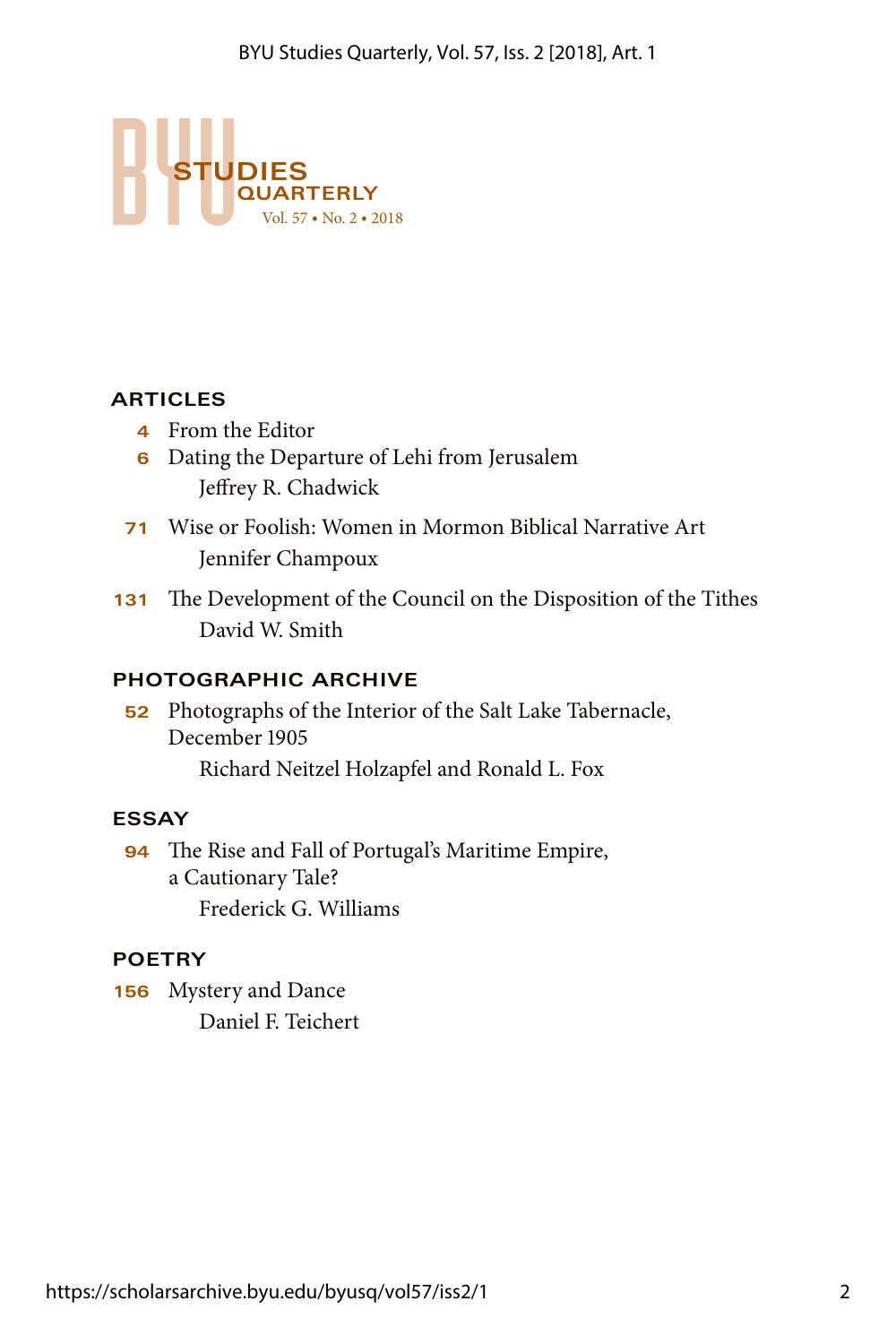

# **ARTICLES**

- **4** From the Editor
- **6** Dating the Departure of Lehi from Jerusalem Jeffrey R. Chadwick
- **71** Wise or Foolish: Women in Mormon Biblical Narrative Art Jennifer Champoux
- **131** The Development of the Council on the Disposition of the Tithes David W. Smith

# **PHOTOGRAPHIC ARCHIVE**

**52** Photographs of the Interior of the Salt Lake Tabernacle, December 1905

Richard Neitzel Holzapfel and Ronald L. Fox

# **ESSAY**

**94** The Rise and Fall of Portugal's Maritime Empire, a Cautionary Tale? Frederick G. Williams

# **POETRY**

**156** Mystery and Dance Daniel F. Teichert